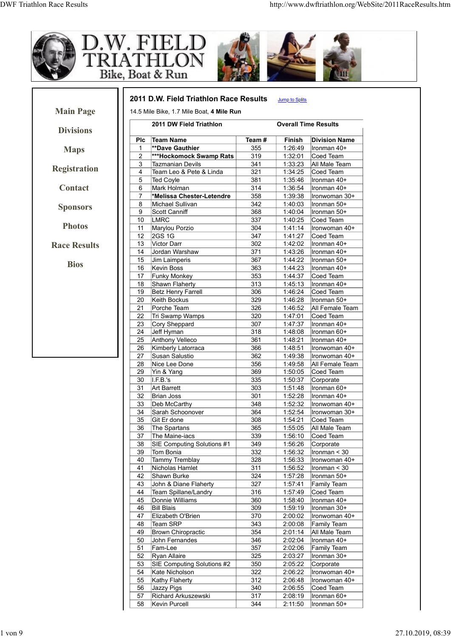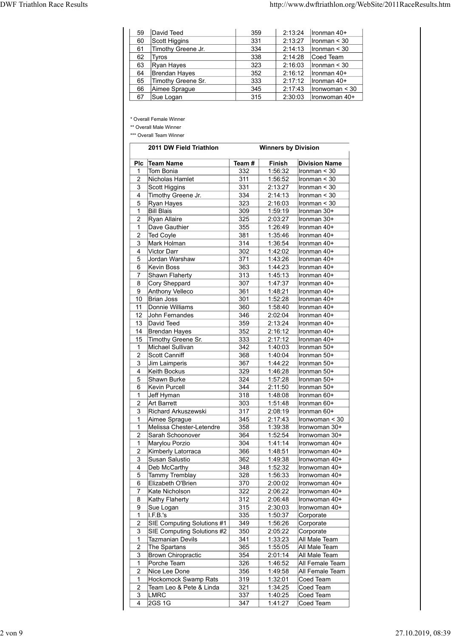| <b>DWF Triathlon Race Results</b>                                                                                          |            |                                       | http://www.dwftriathlon.org/WebSite/2011RaceResults.htm |
|----------------------------------------------------------------------------------------------------------------------------|------------|---------------------------------------|---------------------------------------------------------|
|                                                                                                                            |            |                                       |                                                         |
| David Teed<br>59                                                                                                           | 359        |                                       | 2:13:24<br>Ironman 40+                                  |
| 60<br>Scott Higgins                                                                                                        | 331        | 2:13:27                               | Ironman < 30                                            |
| Timothy Greene Jr.<br>61                                                                                                   | 334        |                                       | 2:14:13<br>$l$ ronman < 30                              |
| Tyros<br>62                                                                                                                | 338        |                                       | 2:14:28<br>Coed Team                                    |
| Ryan Hayes<br>63                                                                                                           | 323        |                                       | 2:16:03<br>$l$ ronman < 30                              |
| <b>Brendan Hayes</b><br>64                                                                                                 | 352        |                                       | 2:16:12<br>Ironman 40+                                  |
| Timothy Greene Sr.<br>65                                                                                                   | 333        |                                       | 2:17:12<br>Ironman 40+                                  |
| 66<br>Aimee Sprague                                                                                                        | 345        |                                       | 2:17:43<br>$l$ ronwoman < 30                            |
| Sue Logan<br>67<br>* Overall Female Winner<br>** Overall Male Winner<br>*** Overall Team Winner<br>2011 DW Field Triathlon | 315        | 2:30:03<br><b>Winners by Division</b> | Ironwoman 40+                                           |
|                                                                                                                            |            |                                       |                                                         |
| Plc Team Name                                                                                                              | Team #     | Finish                                | <b>Division Name</b>                                    |
| 1 Tom Bonia                                                                                                                | 332        | 1:56:32                               | Ironman $<$ 30                                          |
| 2 Nicholas Hamlet                                                                                                          | 311        | 1:56:52                               | $l$ ronman < 30                                         |
| 3 Scott Higgins                                                                                                            | 331        | 2:13:27                               | $\sqrt{\text{Ironman}}$ < 30                            |
| 4 Timothy Greene Jr.                                                                                                       | 334<br>323 | 2:14:13<br>2:16:03                    | $\sqrt{\text{Ironman}}$ < 30                            |
| 5 Ryan Hayes<br>1 Bill Blais                                                                                               | 309        | 1:59:19                               | $l$ ronman < 30<br>Ironman 30+                          |

| 59                             | David Teed                                      | 359        | 2:13:24                    | Ironman 40+                    |
|--------------------------------|-------------------------------------------------|------------|----------------------------|--------------------------------|
| 60                             | Scott Higgins                                   | 331        | 2:13:27                    | Ironman $<$ 30                 |
| 61                             | Timothy Greene Jr.                              | 334        | 2:14:13                    | Ironman < 30                   |
| 62                             | Tyros                                           | 338        | 2:14:28                    | Coed Team                      |
| 63                             | Ryan Hayes                                      | 323        | 2:16:03                    | Ironman < 30                   |
| 64<br>65                       | Brendan Hayes<br>Timothy Greene Sr.             | 352<br>333 | 2:16:12<br>2:17:12         | Ironman 40+<br>Ironman 40+     |
| 66                             | Aimee Sprague                                   | 345        | 2:17:43                    | Ironwoman < 30                 |
| 67                             | Sue Logan                                       | 315        | 2:30:03                    | Ironwoman 40+                  |
|                                |                                                 |            |                            |                                |
|                                | * Overall Female Winner                         |            |                            |                                |
|                                | ** Overall Male Winner                          |            |                            |                                |
|                                | *** Overall Team Winner                         |            |                            |                                |
|                                | 2011 DW Field Triathlon                         |            | <b>Winners by Division</b> |                                |
| <b>PIC</b>                     | Team Name                                       | Team#      | Finish                     | <b>Division Name</b>           |
| $\mathbf{1}$                   | Tom Bonia                                       | 332        | 1:56:32                    | Ironman < 30                   |
| $\overline{c}$                 | Nicholas Hamlet                                 | 311        | 1:56:52                    | Ironman < 30                   |
| 3                              | Scott Higgins                                   | 331        | 2:13:27                    | Ironman < 30                   |
| 4                              | Timothy Greene Jr.                              | 334        | 2:14:13                    | Ironman < 30                   |
| 5                              | Ryan Hayes                                      | 323        | 2:16:03                    | Ironman < 30                   |
| $\mathbf{1}$<br>$\overline{2}$ | <b>Bill Blais</b><br>Ryan Allaire               | 309<br>325 | 1:59:19<br>2:03:27         | Ironman 30+<br>Ironman 30+     |
| $\mathbf{1}$                   | Dave Gauthier                                   | 355        | 1:26:49                    | Ironman 40+                    |
| 2                              | <b>Ted Coyle</b>                                | 381        | 1:35:46                    | Ironman 40+                    |
| 3                              | Mark Holman                                     | 314        | 1:36:54                    | Ironman 40+                    |
| 4                              | <b>Victor Darr</b>                              | 302        | 1:42:02                    | Ironman 40+                    |
| 5                              | Jordan Warshaw                                  | 371        | 1:43:26                    | Ironman 40+                    |
| 6                              | Kevin Boss                                      | 363<br>313 | 1:44:23<br>1:45:13         | Ironman 40+                    |
| 7<br>8                         | Shawn Flaherty<br>Cory Sheppard                 | 307        | 1:47:37                    | Ironman 40+<br>Ironman 40+     |
| 9                              | Anthony Velleco                                 | 361        | 1:48:21                    | Ironman 40+                    |
| 10                             | Brian Joss                                      | 301        | 1:52:28                    | Ironman 40+                    |
| 11                             | Donnie Williams                                 | 360        | 1:58:40                    | Ironman 40+                    |
| 12                             | John Fernandes                                  | 346        | 2:02:04                    | Ironman 40+                    |
| 13                             | David Teed                                      | 359        | 2:13:24                    | Ironman 40+                    |
| 14<br>15                       | Brendan Hayes<br>Timothy Greene Sr.             | 352<br>333 | 2:16:12<br>2:17:12         | Ironman 40+<br>Ironman 40+     |
| $\mathbf{1}$                   | Michael Sullivan                                | 342        | 1:40:03                    | Ironman 50+                    |
| $\sqrt{2}$                     | Scott Canniff                                   | 368        | 1:40:04                    | Ironman 50+                    |
| 3                              | Jim Laimperis                                   | 367        | 1:44:22                    | Ironman 50+                    |
| 4                              | Keith Bockus                                    | 329        | 1:46:28                    | Ironman 50+                    |
| 5                              | Shawn Burke                                     | 324        | 1:57:28                    | Ironman 50+                    |
| 6                              | Kevin Purcell                                   | 344        | 2:11:50                    | Ironman 50+                    |
| $\mathbf{1}$<br>$\overline{2}$ | Jeff Hyman<br>Art Barrett                       | 318<br>303 | 1:48:08<br>1:51:48         | Ironman 60+<br>Ironman 60+     |
| 3                              | Richard Arkuszewski                             | 317        | 2:08:19                    | Ironman 60+                    |
| $\mathbf{1}$                   | Aimee Sprague                                   | 345        | 2:17:43                    | Ironwoman < 30                 |
| $\mathbf{1}$                   | Melissa Chester-Letendre                        | 358        | 1:39:38                    | Ironwoman 30+                  |
| $\overline{2}$                 | Sarah Schoonover                                | 364        | 1:52:54                    | Ironwoman 30+                  |
| $\mathbf{1}$                   | Marylou Porzio                                  | 304        | 1:41:14                    | Ironwoman 40+                  |
| $\overline{c}$<br>3            | Kimberly Latorraca<br>Susan Salustio            | 366<br>362 | 1:48:51<br>1:49:38         | Ironwoman 40+<br>Ironwoman 40+ |
| $\overline{4}$                 | Deb McCarthy                                    | 348        | 1:52:32                    | Ironwoman 40+                  |
| 5                              | <b>Tammy Tremblay</b>                           | 328        | 1:56:33                    | Ironwoman 40+                  |
| 6                              | Elizabeth O'Brien                               | 370        | 2:00:02                    | Ironwoman 40+                  |
| 7                              | Kate Nicholson                                  | 322        | 2:06:22                    | Ironwoman 40+                  |
| 8                              | <b>Kathy Flaherty</b>                           | 312        | 2:06:48                    | Ironwoman 40+                  |
| 9                              | Sue Logan                                       | 315        | 2:30:03                    | Ironwoman 40+                  |
| $\mathbf{1}$<br>$\overline{2}$ | I.F.B.'s<br>SIE Computing Solutions #1          | 335<br>349 | 1:50:37<br>1:56:26         | Corporate<br>Corporate         |
| 3                              | SIE Computing Solutions #2                      | 350        | 2:05:22                    | Corporate                      |
| $\mathbf{1}$                   | <b>Tazmanian Devils</b>                         | 341        | 1:33:23                    | All Male Team                  |
| $\overline{c}$                 | The Spartans                                    | 365        | 1:55:05                    | All Male Team                  |
| 3                              | <b>Brown Chiropractic</b>                       | 354        | 2:01:14                    | All Male Team                  |
| $\mathbf{1}$                   | Porche Team                                     | 326        | 1:46:52                    | All Female Team                |
| $\overline{c}$                 | Nice Lee Done                                   | 356<br>319 | 1:49:58<br>1:32:01         | All Female Team                |
| $\mathbf{1}$<br>$\sqrt{2}$     | Hockomock Swamp Rats<br>Team Leo & Pete & Linda | 321        | 1:34:25                    | Coed Team<br>Coed Team         |
|                                | LMRC                                            | 337        | 1:40:25                    | Coed Team                      |
| 3                              |                                                 |            |                            |                                |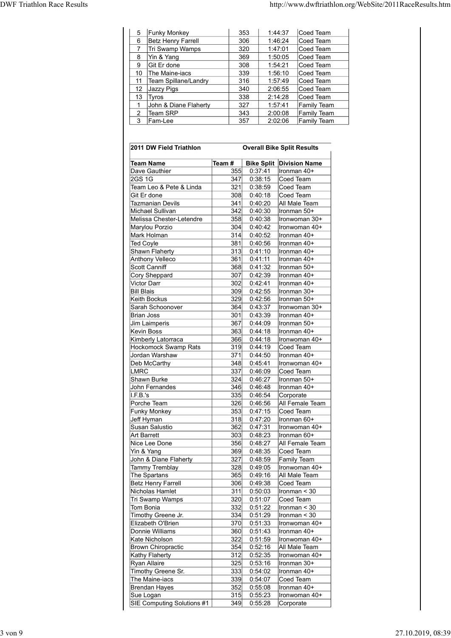| 5 Funky Monkey<br>Coed Team<br>353<br>1:44:37<br>6 Betz Henry Farrell<br>306<br>Coed Team<br>1:46:24<br>Tri Swamp Wamps<br>Coed Team<br>320<br>1:47:01<br>$\overline{7}$<br>Yin & Yang<br>369<br>1:50:05<br>Coed Team<br>8<br>Git Er done<br>308<br>1:54:21<br>Coed Team<br>9<br>The Maine-iacs<br>339<br>1:56:10<br>Coed Team<br>10 <sup>°</sup><br>316<br>1:57:49<br>Coed Team<br>Team Spillane/Landry<br>11<br>340<br>12 Jazzy Pigs<br>2:06:55<br>Coed Team<br>338<br>13 Tyros<br>2:14:28<br>Coed Team<br>John & Diane Flaherty<br>327<br>1:57:41<br><b>Family Team</b><br>Team SRP<br>343<br>2:00:08<br>$\overline{2}$<br><b>Family Team</b><br>3 | 357<br>Fam-Lee<br>2:02:06<br><b>Family Team</b> |  | 2011 DW Field Triathlon<br><b>Overall Bike Split Results</b> | Team #<br><b>Bike Split Division Name</b><br><b>Team Name</b><br>355 0:37:41<br>Ironman 40+<br>Dave Gauthier<br>2GS1G<br>$347$ 0:38:15<br>Coed Team<br>Team Leo & Pete & Linda<br>321<br>0:38:59<br>Coed Team<br>$308$ 0:40:18<br>Coed Team<br>Git Er done<br>All Male Team<br><b>Tazmanian Devils</b><br>341<br>0:40:20<br>Michael Sullivan<br>342<br>0:40:30<br>Ironman 50+<br>Melissa Chester-Letendre<br>358<br>0:40:38<br>Ironwoman 30+<br>Marylou Porzio<br>304 0:40:42<br>Ironwoman 40+<br>$314$ 0:40:52<br>$l$ ronman 40+<br>Mark Holman<br>Ted Covie<br>$381$ 0.40.56 Ironman 40+ |  |  |  |
|-------------------------------------------------------------------------------------------------------------------------------------------------------------------------------------------------------------------------------------------------------------------------------------------------------------------------------------------------------------------------------------------------------------------------------------------------------------------------------------------------------------------------------------------------------------------------------------------------------------------------------------------------------|-------------------------------------------------|--|--------------------------------------------------------------|--------------------------------------------------------------------------------------------------------------------------------------------------------------------------------------------------------------------------------------------------------------------------------------------------------------------------------------------------------------------------------------------------------------------------------------------------------------------------------------------------------------------------------------------------------------------------------------------|--|--|--|
|                                                                                                                                                                                                                                                                                                                                                                                                                                                                                                                                                                                                                                                       |                                                 |  |                                                              |                                                                                                                                                                                                                                                                                                                                                                                                                                                                                                                                                                                            |  |  |  |
|                                                                                                                                                                                                                                                                                                                                                                                                                                                                                                                                                                                                                                                       |                                                 |  |                                                              |                                                                                                                                                                                                                                                                                                                                                                                                                                                                                                                                                                                            |  |  |  |
|                                                                                                                                                                                                                                                                                                                                                                                                                                                                                                                                                                                                                                                       |                                                 |  |                                                              |                                                                                                                                                                                                                                                                                                                                                                                                                                                                                                                                                                                            |  |  |  |
|                                                                                                                                                                                                                                                                                                                                                                                                                                                                                                                                                                                                                                                       |                                                 |  |                                                              |                                                                                                                                                                                                                                                                                                                                                                                                                                                                                                                                                                                            |  |  |  |
|                                                                                                                                                                                                                                                                                                                                                                                                                                                                                                                                                                                                                                                       |                                                 |  |                                                              |                                                                                                                                                                                                                                                                                                                                                                                                                                                                                                                                                                                            |  |  |  |
|                                                                                                                                                                                                                                                                                                                                                                                                                                                                                                                                                                                                                                                       |                                                 |  |                                                              |                                                                                                                                                                                                                                                                                                                                                                                                                                                                                                                                                                                            |  |  |  |
|                                                                                                                                                                                                                                                                                                                                                                                                                                                                                                                                                                                                                                                       |                                                 |  |                                                              |                                                                                                                                                                                                                                                                                                                                                                                                                                                                                                                                                                                            |  |  |  |
|                                                                                                                                                                                                                                                                                                                                                                                                                                                                                                                                                                                                                                                       |                                                 |  |                                                              |                                                                                                                                                                                                                                                                                                                                                                                                                                                                                                                                                                                            |  |  |  |
|                                                                                                                                                                                                                                                                                                                                                                                                                                                                                                                                                                                                                                                       |                                                 |  |                                                              |                                                                                                                                                                                                                                                                                                                                                                                                                                                                                                                                                                                            |  |  |  |
|                                                                                                                                                                                                                                                                                                                                                                                                                                                                                                                                                                                                                                                       |                                                 |  |                                                              |                                                                                                                                                                                                                                                                                                                                                                                                                                                                                                                                                                                            |  |  |  |
|                                                                                                                                                                                                                                                                                                                                                                                                                                                                                                                                                                                                                                                       |                                                 |  |                                                              |                                                                                                                                                                                                                                                                                                                                                                                                                                                                                                                                                                                            |  |  |  |
|                                                                                                                                                                                                                                                                                                                                                                                                                                                                                                                                                                                                                                                       |                                                 |  |                                                              |                                                                                                                                                                                                                                                                                                                                                                                                                                                                                                                                                                                            |  |  |  |
|                                                                                                                                                                                                                                                                                                                                                                                                                                                                                                                                                                                                                                                       |                                                 |  |                                                              |                                                                                                                                                                                                                                                                                                                                                                                                                                                                                                                                                                                            |  |  |  |
|                                                                                                                                                                                                                                                                                                                                                                                                                                                                                                                                                                                                                                                       |                                                 |  |                                                              |                                                                                                                                                                                                                                                                                                                                                                                                                                                                                                                                                                                            |  |  |  |
| http://www.dwftriathlon.org/WebSite/2011RaceResults.htm                                                                                                                                                                                                                                                                                                                                                                                                                                                                                                                                                                                               |                                                 |  |                                                              |                                                                                                                                                                                                                                                                                                                                                                                                                                                                                                                                                                                            |  |  |  |
|                                                                                                                                                                                                                                                                                                                                                                                                                                                                                                                                                                                                                                                       |                                                 |  |                                                              |                                                                                                                                                                                                                                                                                                                                                                                                                                                                                                                                                                                            |  |  |  |
|                                                                                                                                                                                                                                                                                                                                                                                                                                                                                                                                                                                                                                                       |                                                 |  |                                                              |                                                                                                                                                                                                                                                                                                                                                                                                                                                                                                                                                                                            |  |  |  |
|                                                                                                                                                                                                                                                                                                                                                                                                                                                                                                                                                                                                                                                       |                                                 |  |                                                              |                                                                                                                                                                                                                                                                                                                                                                                                                                                                                                                                                                                            |  |  |  |
|                                                                                                                                                                                                                                                                                                                                                                                                                                                                                                                                                                                                                                                       |                                                 |  |                                                              |                                                                                                                                                                                                                                                                                                                                                                                                                                                                                                                                                                                            |  |  |  |
|                                                                                                                                                                                                                                                                                                                                                                                                                                                                                                                                                                                                                                                       |                                                 |  |                                                              |                                                                                                                                                                                                                                                                                                                                                                                                                                                                                                                                                                                            |  |  |  |
|                                                                                                                                                                                                                                                                                                                                                                                                                                                                                                                                                                                                                                                       |                                                 |  |                                                              |                                                                                                                                                                                                                                                                                                                                                                                                                                                                                                                                                                                            |  |  |  |
|                                                                                                                                                                                                                                                                                                                                                                                                                                                                                                                                                                                                                                                       |                                                 |  |                                                              |                                                                                                                                                                                                                                                                                                                                                                                                                                                                                                                                                                                            |  |  |  |
|                                                                                                                                                                                                                                                                                                                                                                                                                                                                                                                                                                                                                                                       |                                                 |  |                                                              |                                                                                                                                                                                                                                                                                                                                                                                                                                                                                                                                                                                            |  |  |  |
|                                                                                                                                                                                                                                                                                                                                                                                                                                                                                                                                                                                                                                                       |                                                 |  |                                                              |                                                                                                                                                                                                                                                                                                                                                                                                                                                                                                                                                                                            |  |  |  |
|                                                                                                                                                                                                                                                                                                                                                                                                                                                                                                                                                                                                                                                       |                                                 |  |                                                              |                                                                                                                                                                                                                                                                                                                                                                                                                                                                                                                                                                                            |  |  |  |
|                                                                                                                                                                                                                                                                                                                                                                                                                                                                                                                                                                                                                                                       |                                                 |  |                                                              |                                                                                                                                                                                                                                                                                                                                                                                                                                                                                                                                                                                            |  |  |  |
|                                                                                                                                                                                                                                                                                                                                                                                                                                                                                                                                                                                                                                                       |                                                 |  |                                                              |                                                                                                                                                                                                                                                                                                                                                                                                                                                                                                                                                                                            |  |  |  |
|                                                                                                                                                                                                                                                                                                                                                                                                                                                                                                                                                                                                                                                       |                                                 |  |                                                              |                                                                                                                                                                                                                                                                                                                                                                                                                                                                                                                                                                                            |  |  |  |
|                                                                                                                                                                                                                                                                                                                                                                                                                                                                                                                                                                                                                                                       |                                                 |  |                                                              |                                                                                                                                                                                                                                                                                                                                                                                                                                                                                                                                                                                            |  |  |  |
|                                                                                                                                                                                                                                                                                                                                                                                                                                                                                                                                                                                                                                                       |                                                 |  |                                                              |                                                                                                                                                                                                                                                                                                                                                                                                                                                                                                                                                                                            |  |  |  |
|                                                                                                                                                                                                                                                                                                                                                                                                                                                                                                                                                                                                                                                       |                                                 |  |                                                              |                                                                                                                                                                                                                                                                                                                                                                                                                                                                                                                                                                                            |  |  |  |
|                                                                                                                                                                                                                                                                                                                                                                                                                                                                                                                                                                                                                                                       |                                                 |  |                                                              |                                                                                                                                                                                                                                                                                                                                                                                                                                                                                                                                                                                            |  |  |  |
|                                                                                                                                                                                                                                                                                                                                                                                                                                                                                                                                                                                                                                                       |                                                 |  |                                                              |                                                                                                                                                                                                                                                                                                                                                                                                                                                                                                                                                                                            |  |  |  |
|                                                                                                                                                                                                                                                                                                                                                                                                                                                                                                                                                                                                                                                       |                                                 |  |                                                              |                                                                                                                                                                                                                                                                                                                                                                                                                                                                                                                                                                                            |  |  |  |
|                                                                                                                                                                                                                                                                                                                                                                                                                                                                                                                                                                                                                                                       |                                                 |  |                                                              |                                                                                                                                                                                                                                                                                                                                                                                                                                                                                                                                                                                            |  |  |  |
|                                                                                                                                                                                                                                                                                                                                                                                                                                                                                                                                                                                                                                                       |                                                 |  |                                                              |                                                                                                                                                                                                                                                                                                                                                                                                                                                                                                                                                                                            |  |  |  |
|                                                                                                                                                                                                                                                                                                                                                                                                                                                                                                                                                                                                                                                       |                                                 |  |                                                              |                                                                                                                                                                                                                                                                                                                                                                                                                                                                                                                                                                                            |  |  |  |
|                                                                                                                                                                                                                                                                                                                                                                                                                                                                                                                                                                                                                                                       |                                                 |  |                                                              |                                                                                                                                                                                                                                                                                                                                                                                                                                                                                                                                                                                            |  |  |  |
|                                                                                                                                                                                                                                                                                                                                                                                                                                                                                                                                                                                                                                                       |                                                 |  |                                                              |                                                                                                                                                                                                                                                                                                                                                                                                                                                                                                                                                                                            |  |  |  |
|                                                                                                                                                                                                                                                                                                                                                                                                                                                                                                                                                                                                                                                       |                                                 |  |                                                              |                                                                                                                                                                                                                                                                                                                                                                                                                                                                                                                                                                                            |  |  |  |
|                                                                                                                                                                                                                                                                                                                                                                                                                                                                                                                                                                                                                                                       |                                                 |  |                                                              |                                                                                                                                                                                                                                                                                                                                                                                                                                                                                                                                                                                            |  |  |  |

|                    |                                             |            |                                   | $\mu$ www.dwitriatinon.org/website/2011KaceResults.html |                              |                                 |  |
|--------------------|---------------------------------------------|------------|-----------------------------------|---------------------------------------------------------|------------------------------|---------------------------------|--|
| 5                  | <b>Funky Monkey</b>                         |            | 353                               | 1:44:37                                                 |                              | Coed Team                       |  |
| 6                  | Betz Henry Farrell                          |            | 306                               | 1:46:24                                                 |                              | Coed Team                       |  |
| $\overline{7}$     | Tri Swamp Wamps                             |            | 320                               | 1:47:01                                                 |                              | Coed Team                       |  |
| 8<br>9             | Yin & Yang<br>Git Er done                   |            | 369<br>308                        | 1:50:05<br>1:54:21                                      |                              | Coed Team<br>Coed Team          |  |
| 10                 | The Maine-iacs                              |            | 339                               | 1:56:10                                                 |                              | Coed Team                       |  |
| 11                 | Team Spillane/Landry                        |            | 316                               | 1:57:49                                                 |                              | Coed Team                       |  |
| 12<br>13           | Jazzy Pigs<br>Tyros                         |            | 340<br>338                        | 2:06:55<br>2:14:28                                      |                              | Coed Team<br>Coed Team          |  |
| $\mathbf{1}$       | John & Diane Flaherty                       |            | 327                               | 1:57:41                                                 |                              | <b>Family Team</b>              |  |
| $\sqrt{2}$         | <b>Team SRP</b>                             |            | 343                               | 2:00:08                                                 |                              | <b>Family Team</b>              |  |
| 3                  | Fam-Lee                                     |            | 357                               | 2:02:06                                                 |                              | <b>Family Team</b>              |  |
|                    |                                             |            |                                   |                                                         |                              |                                 |  |
|                    | 2011 DW Field Triathlon                     |            | <b>Overall Bike Split Results</b> |                                                         |                              |                                 |  |
|                    | <b>Team Name</b>                            | Team#      |                                   |                                                         |                              | <b>Bike Split Division Name</b> |  |
|                    | Dave Gauthier                               | 355        | 0:37:41                           |                                                         | Ironman 40+                  |                                 |  |
| 2GS 1G             | Team Leo & Pete & Linda                     | 347<br>321 | 0:38:15<br>0:38:59                |                                                         | Coed Team<br>Coed Team       |                                 |  |
| Git Er done        |                                             | 308        | 0:40:18                           |                                                         | Coed Team                    |                                 |  |
|                    | <b>Tazmanian Devils</b>                     | 341        | 0:40:20                           |                                                         |                              | All Male Team                   |  |
|                    | <b>Michael Sullivan</b>                     | 342        | 0:40:30                           |                                                         | Ironman 50+                  |                                 |  |
|                    | Melissa Chester-Letendre<br>Marylou Porzio  | 358<br>304 | 0:40:38<br>0:40:42                |                                                         |                              | Ironwoman 30+<br>Ironwoman 40+  |  |
|                    | Mark Holman                                 | 314        | 0:40:52                           |                                                         | Ironman 40+                  |                                 |  |
| <b>Ted Coyle</b>   |                                             | 381        | 0:40:56                           |                                                         | Ironman 40+                  |                                 |  |
|                    | Shawn Flaherty                              | 313        | 0:41:10                           |                                                         | Ironman 40+                  |                                 |  |
|                    | Anthony Velleco<br>Scott Canniff            | 361<br>368 | 0:41:11<br>0:41:32                |                                                         | Ironman 40+<br>Ironman 50+   |                                 |  |
|                    | Cory Sheppard                               | 307        | 0:42:39                           |                                                         | Ironman 40+                  |                                 |  |
| <b>Victor Darr</b> |                                             | 302        | 0:42:41                           |                                                         | Ironman 40+                  |                                 |  |
| <b>Bill Blais</b>  | <b>Keith Bockus</b>                         | 309<br>329 | 0:42:55<br>0:42:56                |                                                         | Ironman 30+<br>Ironman 50+   |                                 |  |
|                    | Sarah Schoonover                            | 364        | 0:43:37                           |                                                         |                              | Ironwoman 30+                   |  |
| <b>Brian Joss</b>  |                                             | 301        | 0:43:39                           |                                                         | Ironman 40+                  |                                 |  |
|                    | Jim Laimperis                               | 367        | 0:44:09                           |                                                         | Ironman 50+                  |                                 |  |
| <b>Kevin Boss</b>  | Kimberly Latorraca                          | 363<br>366 | 0:44:18<br>0:44:18                |                                                         | Ironman 40+                  | Ironwoman 40+                   |  |
|                    | <b>Hockomock Swamp Rats</b>                 | 319        | 0:44:19                           |                                                         | Coed Team                    |                                 |  |
|                    | Jordan Warshaw                              | 371        | 0:44:50                           |                                                         | Ironman 40+                  |                                 |  |
| <b>LMRC</b>        | Deb McCarthy                                | 348<br>337 | 0:45:41<br>0:46:09                |                                                         | Coed Team                    | Ironwoman 40+                   |  |
|                    | Shawn Burke                                 | 324        | 0:46:27                           |                                                         | Ironman 50+                  |                                 |  |
|                    | <b>John Fernandes</b>                       | 346        | 0:46:48                           |                                                         | Ironman 40+                  |                                 |  |
| I.F.B.'s           |                                             | 335        | 0:46:54                           |                                                         | Corporate                    |                                 |  |
|                    | Porche Team<br><b>Funky Monkey</b>          | 326<br>353 | 0:46:56<br>0:47:15                |                                                         | Coed Team                    | All Female Team                 |  |
| Jeff Hyman         |                                             | 318        | 0:47:20                           |                                                         | Ironman 60+                  |                                 |  |
|                    | Susan Salustio                              | 362        | 0:47:31                           |                                                         |                              | Ironwoman 40+                   |  |
| Art Barrett        | Nice Lee Done                               | 303<br>356 | 0:48:23<br>0:48:27                |                                                         | Ironman 60+                  | All Female Team                 |  |
| Yin & Yang         |                                             | 369        | 0:48:35                           |                                                         | Coed Team                    |                                 |  |
|                    | John & Diane Flaherty                       | 327        | 0:48:59                           |                                                         | Family Team                  |                                 |  |
|                    | Tammy Tremblay                              | 328        | 0:49:05                           |                                                         |                              | Ironwoman 40+                   |  |
|                    | The Spartans<br><b>Betz Henry Farrell</b>   | 365<br>306 | 0:49:16<br>0:49:38                |                                                         | Coed Team                    | All Male Team                   |  |
|                    | Nicholas Hamlet                             | 311        | 0:50:03                           |                                                         | Ironman < 30                 |                                 |  |
|                    | Tri Swamp Wamps                             | 320        | 0:51:07                           |                                                         | Coed Team                    |                                 |  |
| Tom Bonia          | Timothy Greene Jr.                          | 332<br>334 | 0:51:22<br>0:51:29                |                                                         | Ironman < 30<br>Ironman < 30 |                                 |  |
|                    | Elizabeth O'Brien                           | 370        | 0:51:33                           |                                                         |                              | Ironwoman 40+                   |  |
|                    | Donnie Williams                             | 360        | 0:51:43                           |                                                         | Ironman 40+                  |                                 |  |
|                    | Kate Nicholson                              | 322        | 0:51:59                           |                                                         |                              | Ironwoman 40+                   |  |
|                    | <b>Brown Chiropractic</b><br>Kathy Flaherty | 354<br>312 | 0:52:16<br>0:52:35                |                                                         | All Male Team                | Ironwoman 40+                   |  |
|                    | Ryan Allaire                                | 325        | 0:53:16                           |                                                         | Ironman 30+                  |                                 |  |
|                    | Timothy Greene Sr.                          | 333        | 0:54:02                           |                                                         | Ironman 40+                  |                                 |  |
|                    | The Maine-iacs                              | 339        | 0:54:07                           |                                                         | Coed Team                    |                                 |  |
| Sue Logan          | <b>Brendan Hayes</b>                        | 352<br>315 | 0:55:08<br>0:55:23                |                                                         | Ironman 40+                  | Ironwoman 40+                   |  |
|                    | SIE Computing Solutions #1                  | 349        | 0:55:28                           |                                                         | Corporate                    |                                 |  |
|                    |                                             |            |                                   |                                                         |                              |                                 |  |
|                    |                                             |            |                                   |                                                         |                              |                                 |  |
|                    |                                             |            |                                   |                                                         |                              |                                 |  |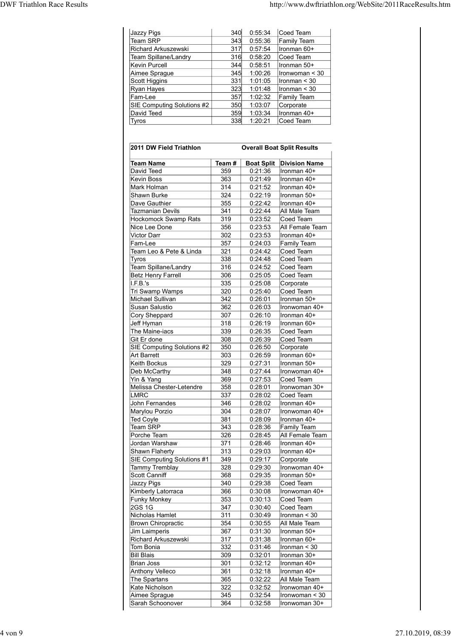| <b>DWF Triathlon Race Results</b> |                                                 |            |                    | http://www.dwftriathlon.org/WebSite/2011RaceResults.htm |
|-----------------------------------|-------------------------------------------------|------------|--------------------|---------------------------------------------------------|
|                                   |                                                 |            |                    |                                                         |
|                                   |                                                 |            |                    |                                                         |
|                                   | Jazzy Pigs                                      | 340        | 0:55:34            | Coed Team                                               |
|                                   | Team SRP                                        | 343        | 0:55:36            | Family Team                                             |
|                                   | Richard Arkuszewski                             | 317        |                    |                                                         |
|                                   |                                                 |            | 0:57:54            | Ironman 60+                                             |
|                                   | Team Spillane/Landry                            | 316        | 0:58:20            | Coed Team                                               |
|                                   | Kevin Purcell                                   | 344        | 0:58:51            | Ironman 50+                                             |
|                                   | Aimee Sprague                                   | 345        | 1:00:26            | Ironwoman $<$ 30                                        |
|                                   | Scott Higgins                                   | 331        | 1:01:05            | $l$ ronman < 30                                         |
|                                   | Ryan Hayes                                      | 323        | 1:01:48            | $l$ ronman < 30                                         |
|                                   | Fam-Lee                                         | 357        | 1:02:32            | <b>Family Team</b>                                      |
|                                   | SIE Computing Solutions #2                      | 350        | 1:03:07            | Corporate                                               |
|                                   | David Teed                                      | 359        | 1:03:34            | Ironman 40+                                             |
|                                   | Tyros                                           | 338        | 1:20:21            | Coed Team                                               |
|                                   |                                                 |            |                    |                                                         |
|                                   | 2011 DW Field Triathlon                         |            |                    | <b>Overall Boat Split Results</b>                       |
|                                   | <b>Team Name</b>                                | Team#      |                    | <b>Boat Split Division Name</b>                         |
|                                   | David Teed                                      | 359        | 0:21:36            | Ironman 40+                                             |
|                                   | Kevin Boss                                      | 363        | 0:21:49            | Ironman 40+                                             |
|                                   | Mark Holman                                     | 314        | 0:21:52            | Ironman 40+                                             |
|                                   | Shawn Burke                                     | 324        | 0:22:19            | Ironman 50+<br>Ironman 40+                              |
|                                   | Dave Gauthier                                   | 355<br>341 | 0:22:42            | All Male Team                                           |
|                                   | <b>Tazmanian Devils</b><br>Hockomock Swamp Rats | 319        | 0:22:44<br>0:23:52 | Coed Team                                               |
|                                   | Nice Lee Done                                   | 356        | 0:23:53            |                                                         |
|                                   | Victor Darr                                     | 302        | 0:23:53            | All Female Team<br>Ironman 40+                          |

| Jazzy Pigs<br><b>Team SRP</b>                     | 340<br>343 | 0:55:34<br>0:55:36 | Coed Team<br>Family Team          |
|---------------------------------------------------|------------|--------------------|-----------------------------------|
| Richard Arkuszewski                               | 317        | 0:57:54            | Ironman 60+                       |
| Team Spillane/Landry                              | 316        | 0:58:20            | Coed Team                         |
| Kevin Purcell                                     | 344        | 0:58:51            | Ironman 50+                       |
| Aimee Sprague<br>Scott Higgins                    | 345<br>331 | 1:00:26<br>1:01:05 | Ironwoman < 30<br>Ironman < 30    |
| Ryan Hayes                                        | 323        | 1:01:48            | Ironman < 30                      |
| Fam-Lee                                           | 357        | 1:02:32            | Family Team                       |
| SIE Computing Solutions #2                        | 350        | 1:03:07            | Corporate                         |
| David Teed                                        | 359        | 1:03:34            | Ironman 40+                       |
| Tyros                                             | 338        | 1:20:21            | Coed Team                         |
|                                                   |            |                    |                                   |
| 2011 DW Field Triathlon                           |            |                    | <b>Overall Boat Split Results</b> |
| <b>Team Name</b>                                  | Team#      |                    | <b>Boat Split Division Name</b>   |
| David Teed                                        | 359        | 0:21:36            | llronman 40+                      |
| <b>Kevin Boss</b>                                 | 363        | 0:21:49            | Ironman 40+                       |
| Mark Holman                                       | 314        | 0:21:52            | Ironman 40+                       |
| Shawn Burke                                       | 324        | 0:22:19            | Ironman 50+                       |
| Dave Gauthier<br><b>Tazmanian Devils</b>          | 355<br>341 | 0:22:42<br>0:22:44 | Ironman 40+<br>All Male Team      |
| <b>Hockomock Swamp Rats</b>                       | 319        | 0:23:52            | Coed Team                         |
| Nice Lee Done                                     | 356        | 0:23:53            | All Female Team                   |
| Victor Darr                                       | 302        | 0:23:53            | Ironman 40+                       |
| Fam-Lee                                           | 357        | 0:24:03            | Family Team                       |
| Team Leo & Pete & Linda                           | 321        | 0:24:42            | Coed Team                         |
| Tyros                                             | 338        | 0:24:48            | Coed Team                         |
| Team Spillane/Landry<br><b>Betz Henry Farrell</b> | 316<br>306 | 0:24:52<br>0:25:05 | Coed Team<br>Coed Team            |
| I.F.B.'s                                          | 335        | 0:25:08            | Corporate                         |
| Tri Swamp Wamps                                   | 320        | 0:25:40            | Coed Team                         |
| <b>Michael Sullivan</b>                           | 342        | 0:26:01            | Ironman 50+                       |
| Susan Salustio                                    | 362        | 0:26:03            | Ironwoman 40+                     |
| Cory Sheppard                                     | 307        | 0:26:10            | Ironman 40+                       |
| Jeff Hyman<br>The Maine-iacs                      | 318<br>339 | 0:26:19<br>0:26:35 | Ironman 60+<br>Coed Team          |
| Git Er done                                       | 308        | 0:26:39            | Coed Team                         |
| SIE Computing Solutions #2                        | 350        | 0:26:50            | Corporate                         |
| <b>Art Barrett</b>                                | 303        | 0:26:59            | Ironman 60+                       |
| Keith Bockus                                      | 329        | 0:27:31            | Ironman 50+                       |
| Deb McCarthy                                      | 348        | 0:27:44            | Ironwoman 40+                     |
| Yin & Yang                                        | 369        | 0:27:53            | Coed Team                         |
| Melissa Chester-Letendre<br><b>LMRC</b>           | 358<br>337 | 0:28:01<br>0:28:02 | Ironwoman 30+                     |
| John Fernandes                                    | 346        | 0:28:02            | Coed Team<br>Ironman 40+          |
| Marylou Porzio                                    | 304        | 0:28:07            | Ironwoman 40+                     |
| <b>Ted Coyle</b>                                  | 381        | 0:28:09            | Ironman 40+                       |
| <b>Team SRP</b>                                   | 343        | 0:28:36            | Family Team                       |
| Porche Team                                       | 326        | 0:28:45            | All Female Team                   |
| Jordan Warshaw                                    | 371        | 0:28:46            | Ironman 40+                       |
| Shawn Flaherty<br>SIE Computing Solutions #1      | 313        | 0:29:03            | Ironman 40+                       |
| <b>Tammy Tremblay</b>                             | 349<br>328 | 0:29:17<br>0:29:30 | Corporate<br>Ironwoman 40+        |
| Scott Canniff                                     | 368        | 0:29:35            | Ironman 50+                       |
| Jazzy Pigs                                        | 340        | 0:29:38            | Coed Team                         |
| Kimberly Latorraca                                | 366        | 0:30:08            | Ironwoman 40+                     |
| <b>Funky Monkey</b>                               | 353        | 0:30:13            | Coed Team                         |
| 2GS 1G                                            | 347        | 0:30:40            | Coed Team                         |
| Nicholas Hamlet<br><b>Brown Chiropractic</b>      | 311        | 0:30:49            | Ironman < 30                      |
| Jim Laimperis                                     | 354<br>367 | 0:30:55<br>0:31:30 | All Male Team<br>Ironman 50+      |
| Richard Arkuszewski                               | 317        | 0:31:38            | Ironman 60+                       |
| Tom Bonia                                         | 332        | 0:31:46            | Ironman < 30                      |
| <b>Bill Blais</b>                                 | 309        | 0:32:01            | Ironman 30+                       |
| <b>Brian Joss</b>                                 | 301        | 0:32:12            | Ironman 40+                       |
| <b>Anthony Velleco</b>                            | 361        | 0:32:18            | Ironman 40+                       |
| The Spartans<br>Kate Nicholson                    | 365<br>322 | 0:32:22<br>0:32:52 | All Male Team<br>Ironwoman 40+    |
| Aimee Sprague                                     | 345        | 0:32:54            | Ironwoman < 30                    |
|                                                   | 364        | 0:32:58            | Ironwoman 30+                     |
| Sarah Schoonover                                  |            |                    |                                   |
|                                                   |            |                    |                                   |
|                                                   |            |                    |                                   |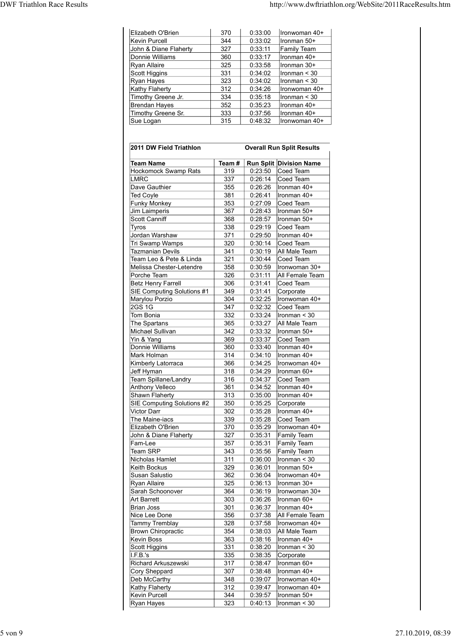|                                   |            |         | http://www.dwftriathlon.org/WebSite/2011RaceResults.htm |
|-----------------------------------|------------|---------|---------------------------------------------------------|
|                                   |            |         |                                                         |
|                                   |            |         |                                                         |
|                                   |            |         |                                                         |
|                                   |            |         |                                                         |
| Elizabeth O'Brien                 |            |         |                                                         |
|                                   | 370        | 0:33:00 | Ironwoman 40+                                           |
| Kevin Purcell                     | 344        | 0:33:02 | Ironman 50+                                             |
| John & Diane Flaherty             | 327        | 0:33:11 | <b>Family Team</b>                                      |
| Donnie Williams                   | 360        | 0:33:17 | Ironman 40+                                             |
| Ryan Allaire                      | 325        | 0:33:58 | Ironman 30+                                             |
| Scott Higgins                     | 331        | 0:34:02 | Ironman < 30                                            |
| Ryan Hayes                        | 323        | 0:34:02 | Ironman $<$ 30                                          |
| <b>Kathy Flaherty</b>             | 312        | 0:34:26 | Ironwoman 40+                                           |
| Timothy Greene Jr.                | 334        | 0:35:18 | $l$ ronman < 30                                         |
| <b>Brendan Hayes</b>              | 352        | 0:35:23 | Ironman 40+                                             |
| Timothy Greene Sr.                | 333        | 0:37:56 | Ironman 40+                                             |
| Sue Logan                         | 315        | 0:48:32 | Ironwoman 40+                                           |
|                                   |            |         |                                                         |
|                                   |            |         |                                                         |
| 2011 DW Field Triathlon           |            |         | <b>Overall Run Split Results</b>                        |
|                                   |            |         |                                                         |
| <b>Team Name</b>                  | Team # $ $ |         | <b>Run Split Division Name</b>                          |
| <b>Hockomock Swamp Rats</b>       | 319        |         | $0:23:50$ Coed Team                                     |
| LMRC                              | 337        |         | $0:26:14$ Coed Team                                     |
| Dave Gauthier                     | 355        |         | $0:26:26$  Ironman 40+                                  |
| Ted Coyle                         | 381        |         | $0:26:41$  Ironman 40+                                  |
| <b>Funky Monkey</b>               | 353        |         | $0:27:09$ Coed Team                                     |
| Jim Laimperis                     | 367        |         | $0:28:43$  Ironman 50+                                  |
| Scott Canniff                     | 368        | 0:28:57 | Ironman 50+                                             |
| Tyros                             | 338        |         | $0:29:19$ Coed Team                                     |
| Jordan Warshaw<br>Tri Swamn Wamns | 371<br>320 |         | $0:29:50$  Ironman 40+<br>$0.30.14$ Coed Team           |

| Elizabeth O'Brien                        | 370        | 0:33:00            | Ironwoman 40+                    |
|------------------------------------------|------------|--------------------|----------------------------------|
| Kevin Purcell                            | 344        | 0:33:02            | Ironman 50+                      |
| John & Diane Flaherty                    | 327        | 0:33:11            | Family Team                      |
| Donnie Williams<br><b>Ryan Allaire</b>   | 360        | 0:33:17            | Ironman 40+<br>Ironman 30+       |
| Scott Higgins                            | 325<br>331 | 0:33:58<br>0:34:02 | Ironman < 30                     |
| Ryan Hayes                               | 323        | 0:34:02            | Ironman < 30                     |
| <b>Kathy Flaherty</b>                    | 312        | 0:34:26            | Ironwoman 40+                    |
| Timothy Greene Jr.                       | 334        | 0:35:18            | Ironman $<$ 30                   |
| <b>Brendan Hayes</b>                     | 352        | 0:35:23            | Ironman 40+                      |
| Timothy Greene Sr.                       | 333        | 0:37:56            | Ironman 40+                      |
| Sue Logan                                | 315        | 0:48:32            | Ironwoman 40+                    |
|                                          |            |                    |                                  |
| 2011 DW Field Triathlon                  |            |                    | <b>Overall Run Split Results</b> |
| <b>Team Name</b>                         | Team#      |                    | <b>Run Split Division Name</b>   |
| Hockomock Swamp Rats                     | 319        | 0:23:50            | Coed Team                        |
| <b>LMRC</b>                              | 337        | 0:26:14            | Coed Team                        |
| Dave Gauthier                            | 355        | 0:26:26            | Ironman 40+                      |
| <b>Ted Coyle</b>                         | 381        | 0:26:41            | Ironman 40+                      |
| <b>Funky Monkey</b>                      | 353<br>367 | 0:27:09            | Coed Team<br>Ironman 50+         |
| Jim Laimperis<br>Scott Canniff           | 368        | 0:28:43<br>0:28:57 | Ironman 50+                      |
| <b>Tyros</b>                             | 338        | 0:29:19            | Coed Team                        |
| Jordan Warshaw                           | 371        | 0:29:50            | Ironman 40+                      |
| Tri Swamp Wamps                          | 320        | 0:30:14            | Coed Team                        |
| <b>Tazmanian Devils</b>                  | 341        | 0:30:19            | All Male Team                    |
| Team Leo & Pete & Linda                  | 321        | 0:30:44            | Coed Team                        |
| Melissa Chester-Letendre                 | 358        | 0:30:59            | Ironwoman 30+                    |
| Porche Team<br><b>Betz Henry Farrell</b> | 326<br>306 | 0:31:11<br>0:31:41 | All Female Team<br>Coed Team     |
| SIE Computing Solutions #1               | 349        | 0:31:41            | Corporate                        |
| Marylou Porzio                           | 304        | 0:32:25            | Ironwoman 40+                    |
| 2GS 1G                                   | 347        | 0:32:32            | Coed Team                        |
| Tom Bonia                                | 332        | 0:33:24            | Ironman < 30                     |
| The Spartans                             | 365        | 0:33:27            | All Male Team                    |
| <b>Michael Sullivan</b>                  | 342        | 0:33:32            | Ironman 50+                      |
| Yin & Yang                               | 369        | 0:33:37            | Coed Team                        |
| Donnie Williams<br>Mark Holman           | 360<br>314 | 0:33:40<br>0:34:10 | Ironman 40+<br>Ironman 40+       |
| Kimberly Latorraca                       | 366        | 0:34:25            | Ironwoman 40+                    |
| Jeff Hyman                               | 318        | 0:34:29            | Ironman 60+                      |
| Team Spillane/Landry                     | 316        | 0:34:37            | Coed Team                        |
| <b>Anthony Velleco</b>                   | 361        | 0:34:52            | Ironman 40+                      |
| Shawn Flaherty                           | 313        | 0:35:00            | Ironman 40+                      |
| SIE Computing Solutions #2               | 350        | 0:35:25            | Corporate                        |
| <b>Victor Darr</b>                       | 302        | 0:35:28            | Ironman 40+                      |
| The Maine-iacs<br>Elizabeth O'Brien      | 339<br>370 | 0:35:28<br>0:35:29 | Coed Team<br>Ironwoman 40+       |
| John & Diane Flaherty                    | 327        | 0:35:31            | <b>Family Team</b>               |
| Fam-Lee                                  | 357        | 0:35:31            | <b>Family Team</b>               |
| <b>Team SRP</b>                          | 343        | 0:35:56            | <b>Family Team</b>               |
| Nicholas Hamlet                          | 311        | 0:36:00            | Ironman < 30                     |
| Keith Bockus                             | 329        | 0:36:01            | Ironman 50+                      |
| Susan Salustio                           | 362        | 0:36:04            | Ironwoman 40+                    |
| <b>Ryan Allaire</b>                      | 325        | 0:36:13            | Ironman 30+                      |
| Sarah Schoonover                         | 364        | 0:36:19            | Ironwoman 30+                    |
| <b>Art Barrett</b><br><b>Brian Joss</b>  | 303<br>301 | 0:36:26<br>0:36:37 | Ironman 60+<br>Ironman 40+       |
| Nice Lee Done                            | 356        | 0:37:38            | All Female Team                  |
| Tammy Tremblay                           | 328        | 0:37:58            | Ironwoman 40+                    |
| <b>Brown Chiropractic</b>                | 354        | 0:38:03            | All Male Team                    |
| <b>Kevin Boss</b>                        | 363        | 0:38:16            | Ironman 40+                      |
| Scott Higgins                            | 331        | 0:38:20            | Ironman < 30                     |
| I.F.B.'s                                 | 335        | 0:38:35            | Corporate                        |
| Richard Arkuszewski                      | 317        | 0:38:47            | Ironman 60+                      |
| Cory Sheppard<br>Deb McCarthy            | 307<br>348 | 0:38:48<br>0:39:07 | Ironman 40+<br>Ironwoman 40+     |
| Kathy Flaherty                           | 312        | 0:39:47            | Ironwoman 40+                    |
| Kevin Purcell                            | 344        | 0:39:57            | Ironman 50+                      |
| Ryan Hayes                               | 323        | 0:40:13            | Ironman $<$ 30                   |
|                                          |            |                    |                                  |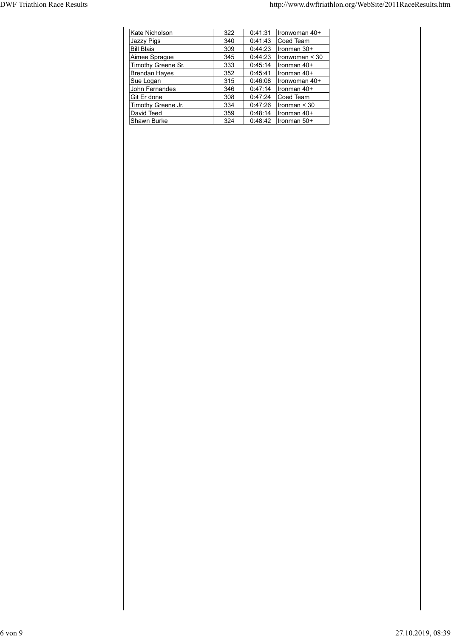| <b>DWF Triathlon Race Results</b> |            |         | http://www.dwftriathlon.org/WebSite/2011RaceResults.htm |  |  |
|-----------------------------------|------------|---------|---------------------------------------------------------|--|--|
|                                   |            |         |                                                         |  |  |
|                                   |            |         |                                                         |  |  |
| Kate Nicholson                    | 322        |         | $0:41:31$  Ironwoman 40+                                |  |  |
| Jazzy Pigs                        | 340        |         | $0:41:43$ Coed Team                                     |  |  |
| <b>Bill Blais</b>                 | 309        |         | $0:44:23$  Ironman 30+                                  |  |  |
| Aimee Sprague                     | 345        |         | $0:44:23$  Ironwoman < 30                               |  |  |
| Timothy Greene Sr.                | 333        | 0:45:14 | Ironman 40+                                             |  |  |
| <b>Brendan Hayes</b>              | 352        |         | $0:45:41$   Ironman 40+                                 |  |  |
| Sue Logan                         | 315        |         | $0:46:08$ Tronwoman 40+                                 |  |  |
| John Fernandes                    | 346        |         | 0:47:14   Ironman 40+                                   |  |  |
| Git Er done                       | 308        |         | 0:47:24 Coed Team                                       |  |  |
| Timothy Greene Jr.<br>David Teed  | 334<br>359 | 0:48:14 | $0:47:26$   Ironman < 30<br>Ironman 40+                 |  |  |